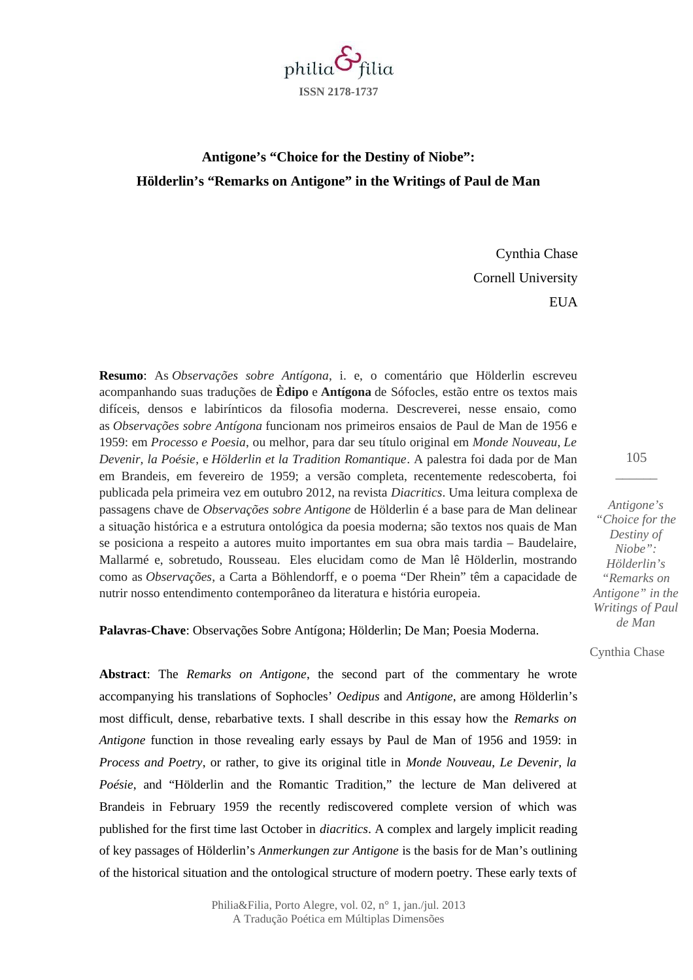

## **Antigone's "Choice for the Destiny of Niobe": Hölderlin's "Remarks on Antigone" in the Writings of Paul de Man**

Cynthia Chase Cornell University **EUA** 

**Resumo**: As *Observações sobre Antígona*, i. e, o comentário que Hölderlin escreveu acompanhando suas traduções de **Èdipo** e **Antígona** de Sófocles, estão entre os textos mais difíceis, densos e labirínticos da filosofia moderna. Descreverei, nesse ensaio, como as *Observações sobre Antígona* funcionam nos primeiros ensaios de Paul de Man de 1956 e 1959: em *Processo e Poesia*, ou melhor, para dar seu título original em *Monde Nouveau*, *Le Devenir, la Poésie*, e *Hölderlin et la Tradition Romantique*. A palestra foi dada por de Man em Brandeis, em fevereiro de 1959; a versão completa, recentemente redescoberta, foi publicada pela primeira vez em outubro 2012, na revista *Diacritics*. Uma leitura complexa de passagens chave de *Observações sobre Antigone* de Hölderlin é a base para de Man delinear a situação histórica e a estrutura ontológica da poesia moderna; são textos nos quais de Man se posiciona a respeito a autores muito importantes em sua obra mais tardia – Baudelaire, Mallarmé e, sobretudo, Rousseau. Eles elucidam como de Man lê Hölderlin, mostrando como as *Observações*, a Carta a Böhlendorff, e o poema "Der Rhein" têm a capacidade de nutrir nosso entendimento contemporâneo da literatura e história europeia.

**Palavras-Chave**: Observações Sobre Antígona; Hölderlin; De Man; Poesia Moderna.

**Abstract**: The *Remarks on Antigone*, the second part of the commentary he wrote accompanying his translations of Sophocles' *Oedipus* and *Antigone*, are among Hölderlin's most difficult, dense, rebarbative texts. I shall describe in this essay how the *Remarks on Antigone* function in those revealing early essays by Paul de Man of 1956 and 1959: in *Process and Poetry*, or rather, to give its original title in *Monde Nouveau*, *Le Devenir, la Poésie*, and "Hölderlin and the Romantic Tradition," the lecture de Man delivered at Brandeis in February 1959 the recently rediscovered complete version of which was published for the first time last October in *diacritics*. A complex and largely implicit reading of key passages of Hölderlin's *Anmerkungen zur Antigone* is the basis for de Man's outlining of the historical situation and the ontological structure of modern poetry. These early texts of

> Philia&Filia, Porto Alegre, vol. 02, n° 1, jan./jul. 2013 A Tradução Poética em Múltiplas Dimensões

105  $\overline{\phantom{a}}$ 

*Antigone's "Choice for the Destiny of Niobe": Hölderlin's "Remarks on Antigone" in the Writings of Paul de Man*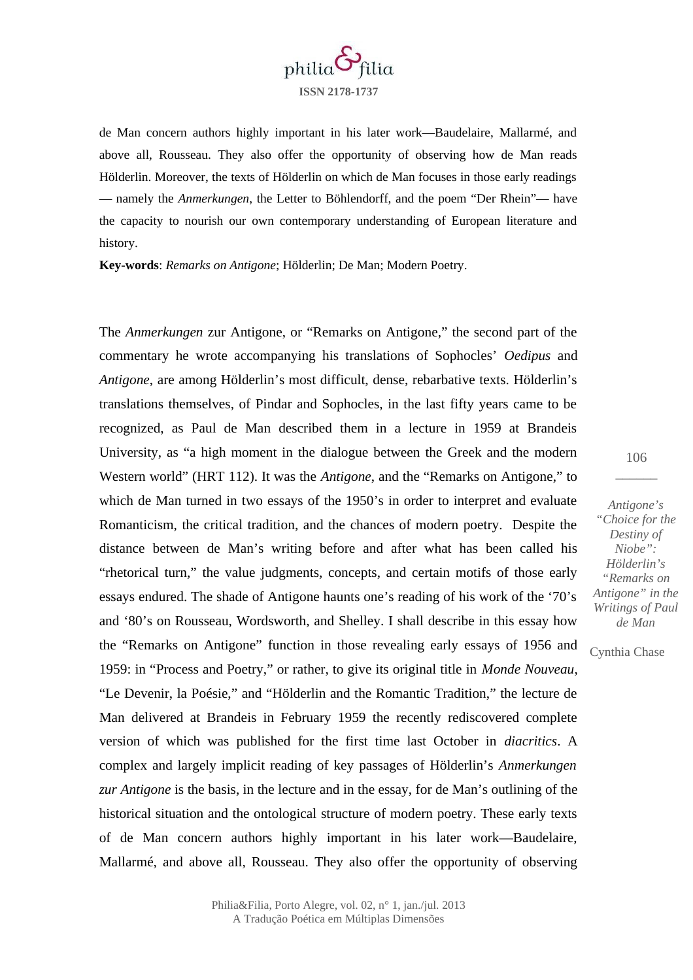

de Man concern authors highly important in his later work—Baudelaire, Mallarmé, and above all, Rousseau. They also offer the opportunity of observing how de Man reads Hölderlin. Moreover, the texts of Hölderlin on which de Man focuses in those early readings — namely the *Anmerkungen*, the Letter to Böhlendorff, and the poem "Der Rhein"— have the capacity to nourish our own contemporary understanding of European literature and history.

**Key-words**: *Remarks on Antigone*; Hölderlin; De Man; Modern Poetry.

The *Anmerkungen* zur Antigone, or "Remarks on Antigone," the second part of the commentary he wrote accompanying his translations of Sophocles' *Oedipus* and *Antigone*, are among Hölderlin's most difficult, dense, rebarbative texts. Hölderlin's translations themselves, of Pindar and Sophocles, in the last fifty years came to be recognized, as Paul de Man described them in a lecture in 1959 at Brandeis University, as "a high moment in the dialogue between the Greek and the modern Western world" (HRT 112). It was the *Antigone*, and the "Remarks on Antigone," to which de Man turned in two essays of the 1950's in order to interpret and evaluate Romanticism, the critical tradition, and the chances of modern poetry. Despite the distance between de Man's writing before and after what has been called his "rhetorical turn," the value judgments, concepts, and certain motifs of those early essays endured. The shade of Antigone haunts one's reading of his work of the '70's and '80's on Rousseau, Wordsworth, and Shelley. I shall describe in this essay how the "Remarks on Antigone" function in those revealing early essays of 1956 and 1959: in "Process and Poetry," or rather, to give its original title in *Monde Nouveau*, "Le Devenir, la Poésie," and "Hölderlin and the Romantic Tradition," the lecture de Man delivered at Brandeis in February 1959 the recently rediscovered complete version of which was published for the first time last October in *diacritics*. A complex and largely implicit reading of key passages of Hölderlin's *Anmerkungen zur Antigone* is the basis, in the lecture and in the essay, for de Man's outlining of the historical situation and the ontological structure of modern poetry. These early texts of de Man concern authors highly important in his later work—Baudelaire, Mallarmé, and above all, Rousseau. They also offer the opportunity of observing

106  $\overline{\phantom{a}}$ 

*Antigone's "Choice for the Destiny of Niobe": Hölderlin's "Remarks on Antigone" in the Writings of Paul de Man*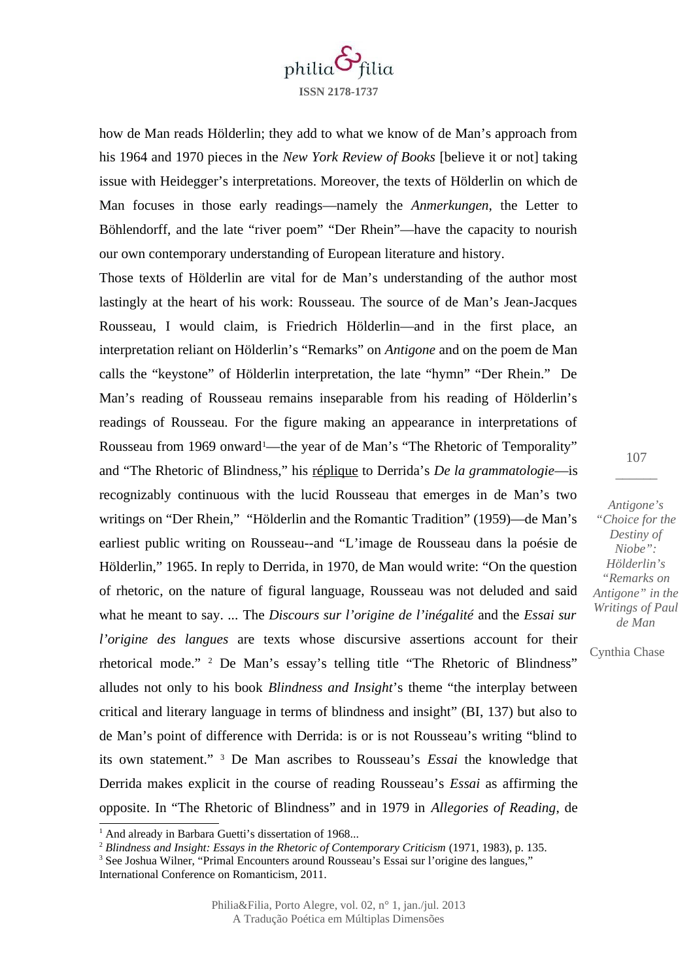

how de Man reads Hölderlin; they add to what we know of de Man's approach from his 1964 and 1970 pieces in the *New York Review of Books* [believe it or not] taking issue with Heidegger's interpretations. Moreover, the texts of Hölderlin on which de Man focuses in those early readings—namely the *Anmerkungen*, the Letter to Böhlendorff, and the late "river poem" "Der Rhein"—have the capacity to nourish our own contemporary understanding of European literature and history.

Those texts of Hölderlin are vital for de Man's understanding of the author most lastingly at the heart of his work: Rousseau. The source of de Man's Jean-Jacques Rousseau, I would claim, is Friedrich Hölderlin—and in the first place, an interpretation reliant on Hölderlin's "Remarks" on *Antigone* and on the poem de Man calls the "keystone" of Hölderlin interpretation, the late "hymn" "Der Rhein." De Man's reading of Rousseau remains inseparable from his reading of Hölderlin's readings of Rousseau. For the figure making an appearance in interpretations of Rousseau from [1](#page-2-0)969 onward<sup>1</sup>—the year of de Man's "The Rhetoric of Temporality" and "The Rhetoric of Blindness," his réplique to Derrida's *De la grammatologie*—is recognizably continuous with the lucid Rousseau that emerges in de Man's two writings on "Der Rhein," "Hölderlin and the Romantic Tradition" (1959)—de Man's earliest public writing on Rousseau--and "L'image de Rousseau dans la poésie de Hölderlin," 1965. In reply to Derrida, in 1970, de Man would write: "On the question of rhetoric, on the nature of figural language, Rousseau was not deluded and said what he meant to say. ... The *Discours sur l'origine de l'inégalité* and the *Essai sur l'origine des langues* are texts whose discursive assertions account for their rhetorical mode." [2](#page-2-1) De Man's essay's telling title "The Rhetoric of Blindness" alludes not only to his book *Blindness and Insight*'s theme "the interplay between critical and literary language in terms of blindness and insight" (BI, 137) but also to de Man's point of difference with Derrida: is or is not Rousseau's writing "blind to its own statement." [3](#page-2-2) De Man ascribes to Rousseau's *Essai* the knowledge that Derrida makes explicit in the course of reading Rousseau's *Essai* as affirming the opposite. In "The Rhetoric of Blindness" and in 1979 in *Allegories of Reading*, de

107  $\overline{\phantom{a}}$ 

*Antigone's "Choice for the Destiny of Niobe": Hölderlin's "Remarks on Antigone" in the Writings of Paul de Man*

<span id="page-2-0"></span> $1$  And already in Barbara Guetti's dissertation of 1968...

<span id="page-2-1"></span><sup>2</sup> *Blindness and Insight: Essays in the Rhetoric of Contemporary Criticism* (1971, 1983), p. 135.

<span id="page-2-2"></span><sup>&</sup>lt;sup>3</sup> See Joshua Wilner, "Primal Encounters around Rousseau's Essai sur l'origine des langues," International Conference on Romanticism, 2011.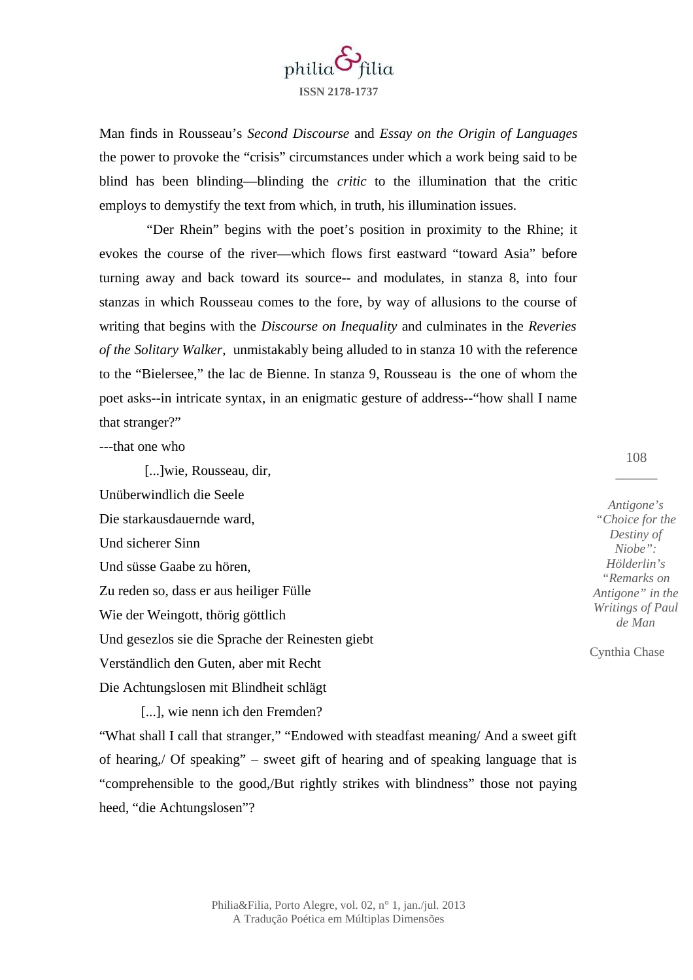

Man finds in Rousseau's *Second Discourse* and *Essay on the Origin of Languages* the power to provoke the "crisis" circumstances under which a work being said to be blind has been blinding—blinding the *critic* to the illumination that the critic employs to demystify the text from which, in truth, his illumination issues.

 "Der Rhein" begins with the poet's position in proximity to the Rhine; it evokes the course of the river—which flows first eastward "toward Asia" before turning away and back toward its source-- and modulates, in stanza 8, into four stanzas in which Rousseau comes to the fore, by way of allusions to the course of writing that begins with the *Discourse on Inequality* and culminates in the *Reveries of the Solitary Walker*, unmistakably being alluded to in stanza 10 with the reference to the "Bielersee," the lac de Bienne. In stanza 9, Rousseau is the one of whom the poet asks--in intricate syntax, in an enigmatic gesture of address--"how shall I name that stranger?"

---that one who

 [...]wie, Rousseau, dir, Unüberwindlich die Seele Die starkausdauernde ward, Und sicherer Sinn Und süsse Gaabe zu hören, Zu reden so, dass er aus heiliger Fülle Wie der Weingott, thörig göttlich Und gesezlos sie die Sprache der Reinesten giebt Verständlich den Guten, aber mit Recht

Die Achtungslosen mit Blindheit schlägt

[...], wie nenn ich den Fremden?

"What shall I call that stranger," "Endowed with steadfast meaning/ And a sweet gift of hearing,/ Of speaking" – sweet gift of hearing and of speaking language that is "comprehensible to the good,/But rightly strikes with blindness" those not paying heed, "die Achtungslosen"?

108  $\overline{\phantom{a}}$ 

*Antigone's "Choice for the Destiny of Niobe": Hölderlin's "Remarks on Antigone" in the Writings of Paul de Man*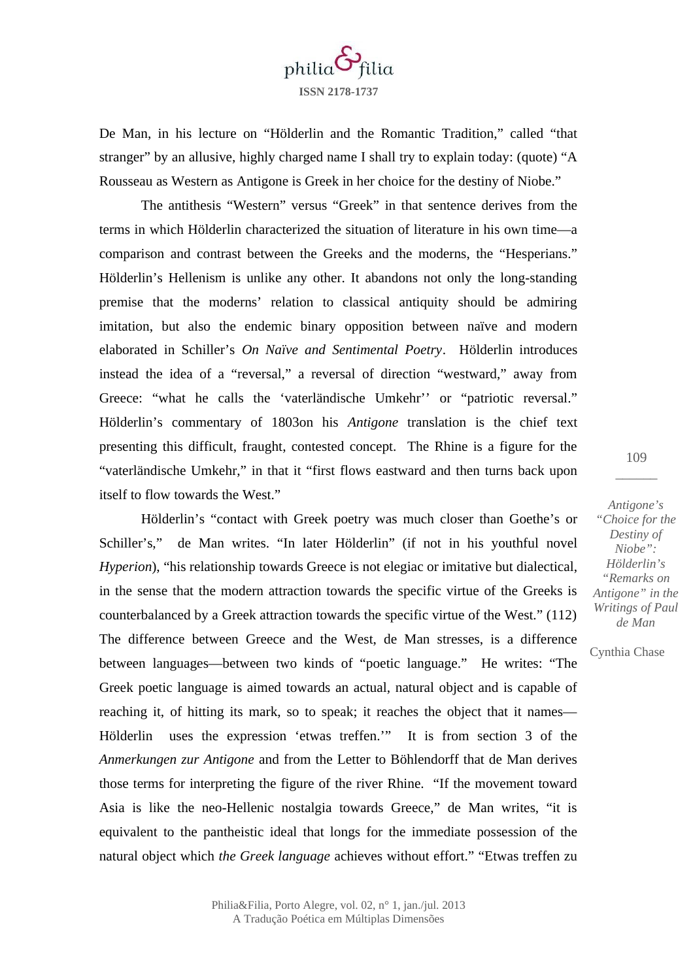

De Man, in his lecture on "Hölderlin and the Romantic Tradition," called "that stranger" by an allusive, highly charged name I shall try to explain today: (quote) "A Rousseau as Western as Antigone is Greek in her choice for the destiny of Niobe."

The antithesis "Western" versus "Greek" in that sentence derives from the terms in which Hölderlin characterized the situation of literature in his own time—a comparison and contrast between the Greeks and the moderns, the "Hesperians." Hölderlin's Hellenism is unlike any other. It abandons not only the long-standing premise that the moderns' relation to classical antiquity should be admiring imitation, but also the endemic binary opposition between naïve and modern elaborated in Schiller's *On Naïve and Sentimental Poetry*. Hölderlin introduces instead the idea of a "reversal," a reversal of direction "westward," away from Greece: "what he calls the 'vaterländische Umkehr'' or "patriotic reversal." Hölderlin's commentary of 1803on his *Antigone* translation is the chief text presenting this difficult, fraught, contested concept. The Rhine is a figure for the "vaterländische Umkehr," in that it "first flows eastward and then turns back upon itself to flow towards the West."

Hölderlin's "contact with Greek poetry was much closer than Goethe's or Schiller's," de Man writes. "In later Hölderlin" (if not in his youthful novel *Hyperion*), "his relationship towards Greece is not elegiac or imitative but dialectical, in the sense that the modern attraction towards the specific virtue of the Greeks is counterbalanced by a Greek attraction towards the specific virtue of the West." (112) The difference between Greece and the West, de Man stresses, is a difference between languages—between two kinds of "poetic language." He writes: "The Greek poetic language is aimed towards an actual, natural object and is capable of reaching it, of hitting its mark, so to speak; it reaches the object that it names— Hölderlin uses the expression 'etwas treffen.'" It is from section 3 of the *Anmerkungen zur Antigone* and from the Letter to Böhlendorff that de Man derives those terms for interpreting the figure of the river Rhine. "If the movement toward Asia is like the neo-Hellenic nostalgia towards Greece," de Man writes, "it is equivalent to the pantheistic ideal that longs for the immediate possession of the natural object which *the Greek language* achieves without effort." "Etwas treffen zu

*Antigone's "Choice for the Destiny of Niobe": Hölderlin's "Remarks on Antigone" in the Writings of Paul de Man*

109  $\overline{\phantom{a}}$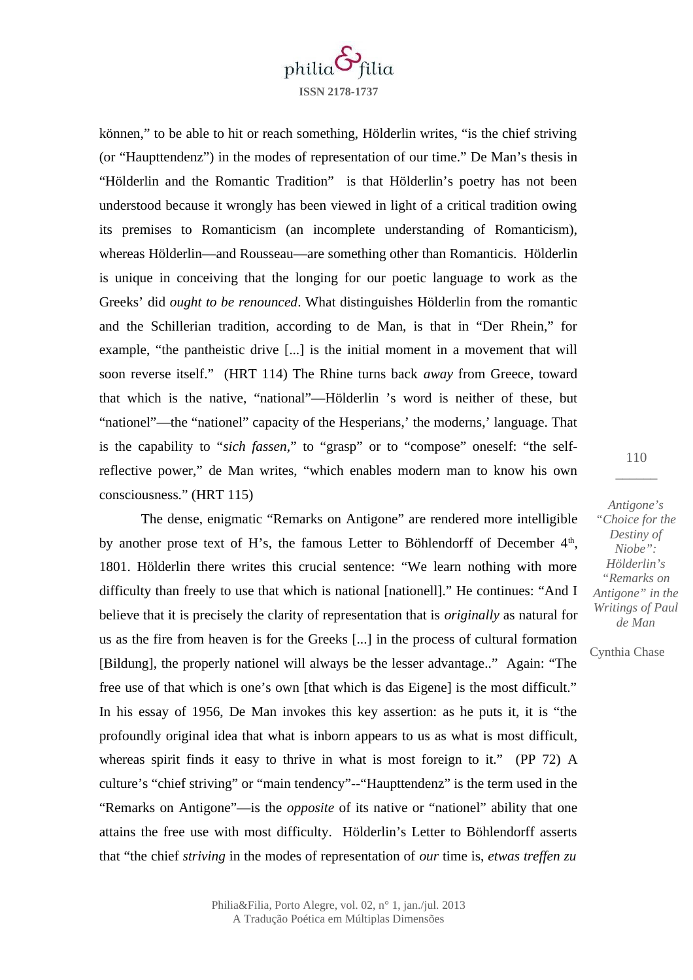

können," to be able to hit or reach something, Hölderlin writes, "is the chief striving (or "Haupttendenz") in the modes of representation of our time." De Man's thesis in "Hölderlin and the Romantic Tradition" is that Hölderlin's poetry has not been understood because it wrongly has been viewed in light of a critical tradition owing its premises to Romanticism (an incomplete understanding of Romanticism), whereas Hölderlin—and Rousseau—are something other than Romanticis. Hölderlin is unique in conceiving that the longing for our poetic language to work as the Greeks' did *ought to be renounced*. What distinguishes Hölderlin from the romantic and the Schillerian tradition, according to de Man, is that in "Der Rhein," for example, "the pantheistic drive [...] is the initial moment in a movement that will soon reverse itself." (HRT 114) The Rhine turns back *away* from Greece, toward that which is the native, "national"—Hölderlin 's word is neither of these, but "nationel"—the "nationel" capacity of the Hesperians,' the moderns,' language. That is the capability to "*sich fassen,*" to "grasp" or to "compose" oneself: "the selfreflective power," de Man writes, "which enables modern man to know his own consciousness." (HRT 115)

The dense, enigmatic "Remarks on Antigone" are rendered more intelligible by another prose text of H's, the famous Letter to Böhlendorff of December  $4<sup>th</sup>$ , 1801. Hölderlin there writes this crucial sentence: "We learn nothing with more difficulty than freely to use that which is national [nationell]." He continues: "And I believe that it is precisely the clarity of representation that is *originally* as natural for us as the fire from heaven is for the Greeks [...] in the process of cultural formation [Bildung], the properly nationel will always be the lesser advantage.." Again: "The free use of that which is one's own [that which is das Eigene] is the most difficult." In his essay of 1956, De Man invokes this key assertion: as he puts it, it is "the profoundly original idea that what is inborn appears to us as what is most difficult, whereas spirit finds it easy to thrive in what is most foreign to it." (PP 72) A culture's "chief striving" or "main tendency"--"Haupttendenz" is the term used in the "Remarks on Antigone"—is the *opposite* of its native or "nationel" ability that one attains the free use with most difficulty. Hölderlin's Letter to Böhlendorff asserts that "the chief *striving* in the modes of representation of *our* time is, *etwas treffen zu*

110  $\overline{\phantom{a}}$ 

*Antigone's "Choice for the Destiny of Niobe": Hölderlin's "Remarks on Antigone" in the Writings of Paul de Man*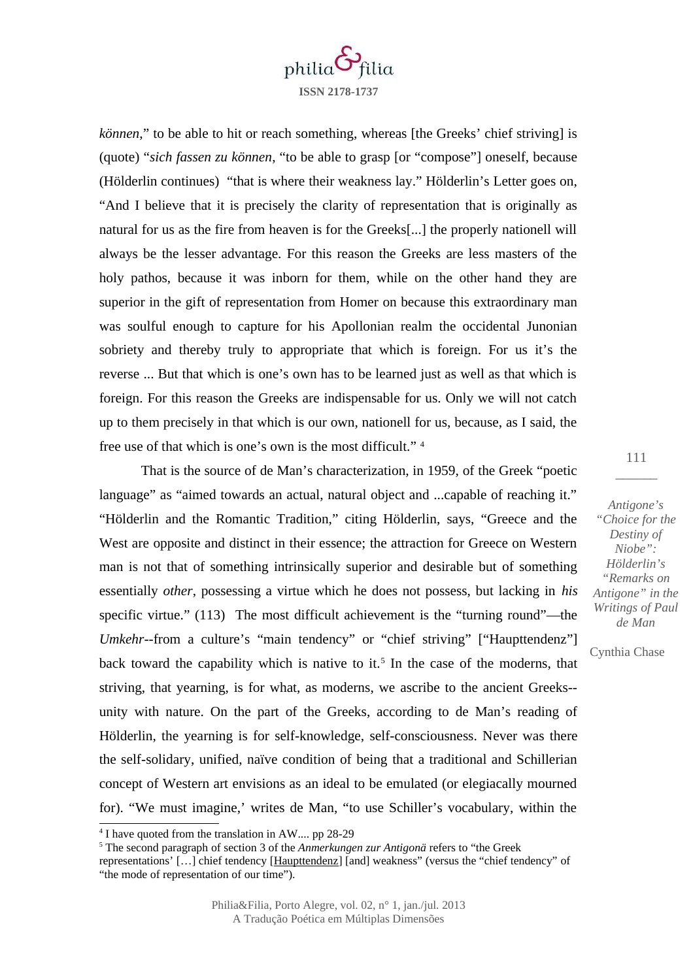

*können*," to be able to hit or reach something, whereas [the Greeks' chief striving] is (quote) "*sich fassen zu können*, "to be able to grasp [or "compose"] oneself, because (Hölderlin continues) "that is where their weakness lay." Hölderlin's Letter goes on, "And I believe that it is precisely the clarity of representation that is originally as natural for us as the fire from heaven is for the Greeks[...] the properly nationell will always be the lesser advantage. For this reason the Greeks are less masters of the holy pathos, because it was inborn for them, while on the other hand they are superior in the gift of representation from Homer on because this extraordinary man was soulful enough to capture for his Apollonian realm the occidental Junonian sobriety and thereby truly to appropriate that which is foreign. For us it's the reverse ... But that which is one's own has to be learned just as well as that which is foreign. For this reason the Greeks are indispensable for us. Only we will not catch up to them precisely in that which is our own, nationell for us, because, as I said, the free use of that which is one's own is the most difficult." [4](#page-6-0)

That is the source of de Man's characterization, in 1959, of the Greek "poetic language" as "aimed towards an actual, natural object and ...capable of reaching it." "Hölderlin and the Romantic Tradition," citing Hölderlin, says, "Greece and the West are opposite and distinct in their essence; the attraction for Greece on Western man is not that of something intrinsically superior and desirable but of something essentially *other*, possessing a virtue which he does not possess, but lacking in *his* specific virtue." (113) The most difficult achievement is the "turning round"—the *Umkehr*--from a culture's "main tendency" or "chief striving" ["Haupttendenz"] back toward the capability which is native to it.<sup>[5](#page-6-1)</sup> In the case of the moderns, that striving, that yearning, is for what, as moderns, we ascribe to the ancient Greeks- unity with nature. On the part of the Greeks, according to de Man's reading of Hölderlin, the yearning is for self-knowledge, self-consciousness. Never was there the self-solidary, unified, naïve condition of being that a traditional and Schillerian concept of Western art envisions as an ideal to be emulated (or elegiacally mourned for). "We must imagine,' writes de Man, "to use Schiller's vocabulary, within the

111  $\overline{\phantom{a}}$ 

*Antigone's "Choice for the Destiny of Niobe": Hölderlin's "Remarks on Antigone" in the Writings of Paul de Man*

<span id="page-6-0"></span><sup>&</sup>lt;sup>4</sup> I have quoted from the translation in AW.... pp 28-29

<span id="page-6-1"></span><sup>5</sup> The second paragraph of section 3 of the *Anmerkungen zur Antigonä* refers to "the Greek

representations' […] chief tendency [Haupttendenz] [and] weakness" (versus the "chief tendency" of "the mode of representation of our time").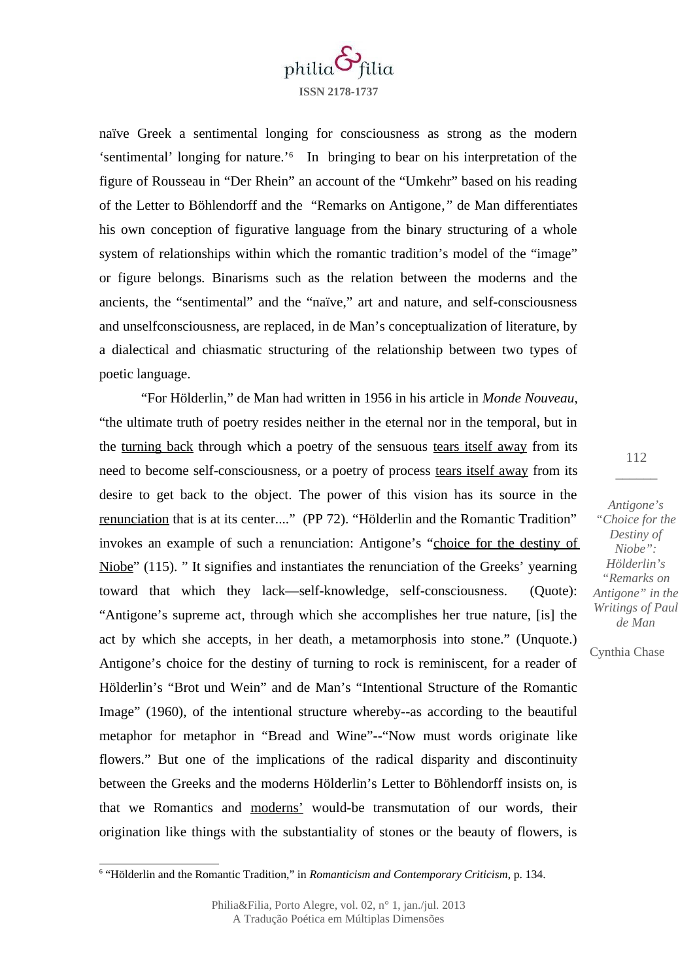

naïve Greek a sentimental longing for consciousness as strong as the modern 'sentimental' longing for nature.'[6](#page-7-0) In bringing to bear on his interpretation of the figure of Rousseau in "Der Rhein" an account of the "Umkehr" based on his reading of the Letter to Böhlendorff and the "Remarks on Antigone*,"* de Man differentiates his own conception of figurative language from the binary structuring of a whole system of relationships within which the romantic tradition's model of the "image" or figure belongs. Binarisms such as the relation between the moderns and the ancients, the "sentimental" and the "naïve," art and nature, and self-consciousness and unselfconsciousness, are replaced, in de Man's conceptualization of literature, by a dialectical and chiasmatic structuring of the relationship between two types of poetic language.

"For Hölderlin," de Man had written in 1956 in his article in *Monde Nouveau*, "the ultimate truth of poetry resides neither in the eternal nor in the temporal, but in the turning back through which a poetry of the sensuous tears itself away from its need to become self-consciousness, or a poetry of process tears itself away from its desire to get back to the object. The power of this vision has its source in the renunciation that is at its center...." (PP 72). "Hölderlin and the Romantic Tradition" invokes an example of such a renunciation: Antigone's "choice for the destiny of Niobe" (115). " It signifies and instantiates the renunciation of the Greeks' yearning toward that which they lack—self-knowledge, self-consciousness. (Quote): "Antigone's supreme act, through which she accomplishes her true nature, [is] the act by which she accepts, in her death, a metamorphosis into stone." (Unquote.) Antigone's choice for the destiny of turning to rock is reminiscent, for a reader of Hölderlin's "Brot und Wein" and de Man's "Intentional Structure of the Romantic Image" (1960), of the intentional structure whereby--as according to the beautiful metaphor for metaphor in "Bread and Wine"--"Now must words originate like flowers." But one of the implications of the radical disparity and discontinuity between the Greeks and the moderns Hölderlin's Letter to Böhlendorff insists on, is that we Romantics and moderns' would-be transmutation of our words, their origination like things with the substantiality of stones or the beauty of flowers, is

*Antigone's "Choice for the Destiny of Niobe": Hölderlin's "Remarks on Antigone" in the Writings of Paul de Man*

<span id="page-7-0"></span><sup>6</sup> "Hölderlin and the Romantic Tradition," in *Romanticism and Contemporary Criticism*, p. 134.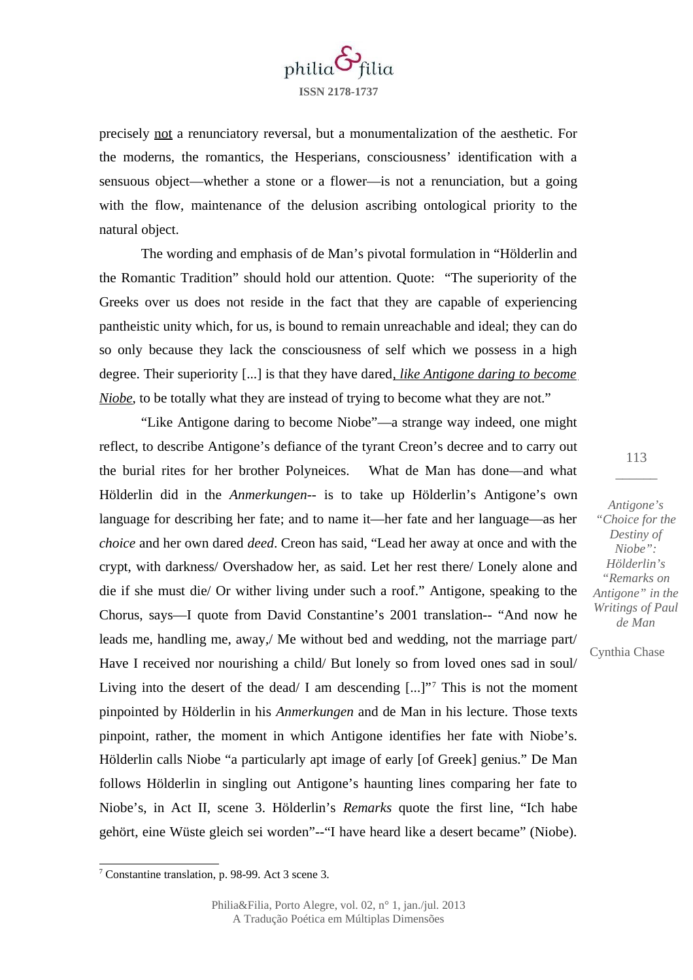

precisely not a renunciatory reversal, but a monumentalization of the aesthetic. For the moderns, the romantics, the Hesperians, consciousness' identification with a sensuous object—whether a stone or a flower—is not a renunciation, but a going with the flow, maintenance of the delusion ascribing ontological priority to the natural object.

The wording and emphasis of de Man's pivotal formulation in "Hölderlin and the Romantic Tradition" should hold our attention. Quote: "The superiority of the Greeks over us does not reside in the fact that they are capable of experiencing pantheistic unity which, for us, is bound to remain unreachable and ideal; they can do so only because they lack the consciousness of self which we possess in a high degree. Their superiority [...] is that they have dared*, like Antigone daring to become Niobe*, to be totally what they are instead of trying to become what they are not."

"Like Antigone daring to become Niobe"—a strange way indeed, one might reflect, to describe Antigone's defiance of the tyrant Creon's decree and to carry out the burial rites for her brother Polyneices. What de Man has done—and what Hölderlin did in the *Anmerkungen*-- is to take up Hölderlin's Antigone's own language for describing her fate; and to name it—her fate and her language—as her *choice* and her own dared *deed*. Creon has said, "Lead her away at once and with the crypt, with darkness/ Overshadow her, as said. Let her rest there/ Lonely alone and die if she must die/ Or wither living under such a roof." Antigone, speaking to the Chorus, says—I quote from David Constantine's 2001 translation-- "And now he leads me, handling me, away,/ Me without bed and wedding, not the marriage part/ Have I received nor nourishing a child/ But lonely so from loved ones sad in soul/ Living into the desert of the dead/ I am descending [...]"[7](#page-8-0) This is not the moment pinpointed by Hölderlin in his *Anmerkungen* and de Man in his lecture. Those texts pinpoint, rather, the moment in which Antigone identifies her fate with Niobe's. Hölderlin calls Niobe "a particularly apt image of early [of Greek] genius." De Man follows Hölderlin in singling out Antigone's haunting lines comparing her fate to Niobe's, in Act II, scene 3. Hölderlin's *Remarks* quote the first line, "Ich habe gehört, eine Wüste gleich sei worden"--"I have heard like a desert became" (Niobe).

113  $\overline{\phantom{a}}$ 

*Antigone's "Choice for the Destiny of Niobe": Hölderlin's "Remarks on Antigone" in the Writings of Paul de Man*

<span id="page-8-0"></span><sup>7</sup> Constantine translation, p. 98-99. Act 3 scene 3.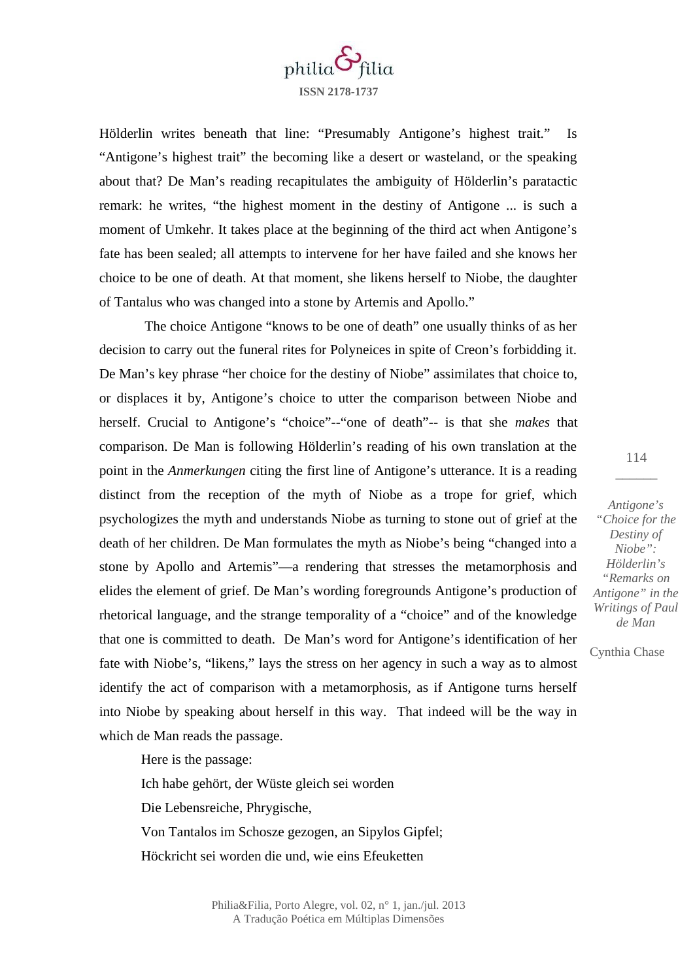

Hölderlin writes beneath that line: "Presumably Antigone's highest trait." Is "Antigone's highest trait" the becoming like a desert or wasteland, or the speaking about that? De Man's reading recapitulates the ambiguity of Hölderlin's paratactic remark: he writes, "the highest moment in the destiny of Antigone ... is such a moment of Umkehr. It takes place at the beginning of the third act when Antigone's fate has been sealed; all attempts to intervene for her have failed and she knows her choice to be one of death. At that moment, she likens herself to Niobe, the daughter of Tantalus who was changed into a stone by Artemis and Apollo."

 The choice Antigone "knows to be one of death" one usually thinks of as her decision to carry out the funeral rites for Polyneices in spite of Creon's forbidding it. De Man's key phrase "her choice for the destiny of Niobe" assimilates that choice to, or displaces it by, Antigone's choice to utter the comparison between Niobe and herself. Crucial to Antigone's "choice"--"one of death"-- is that she *makes* that comparison. De Man is following Hölderlin's reading of his own translation at the point in the *Anmerkungen* citing the first line of Antigone's utterance. It is a reading distinct from the reception of the myth of Niobe as a trope for grief, which psychologizes the myth and understands Niobe as turning to stone out of grief at the death of her children. De Man formulates the myth as Niobe's being "changed into a stone by Apollo and Artemis"—a rendering that stresses the metamorphosis and elides the element of grief. De Man's wording foregrounds Antigone's production of rhetorical language, and the strange temporality of a "choice" and of the knowledge that one is committed to death. De Man's word for Antigone's identification of her fate with Niobe's, "likens," lays the stress on her agency in such a way as to almost identify the act of comparison with a metamorphosis, as if Antigone turns herself into Niobe by speaking about herself in this way. That indeed will be the way in which de Man reads the passage.

Here is the passage: Ich habe gehört, der Wüste gleich sei worden Die Lebensreiche, Phrygische, Von Tantalos im Schosze gezogen, an Sipylos Gipfel; Höckricht sei worden die und, wie eins Efeuketten

114  $\overline{\phantom{a}}$ 

*Antigone's "Choice for the Destiny of Niobe": Hölderlin's "Remarks on Antigone" in the Writings of Paul de Man*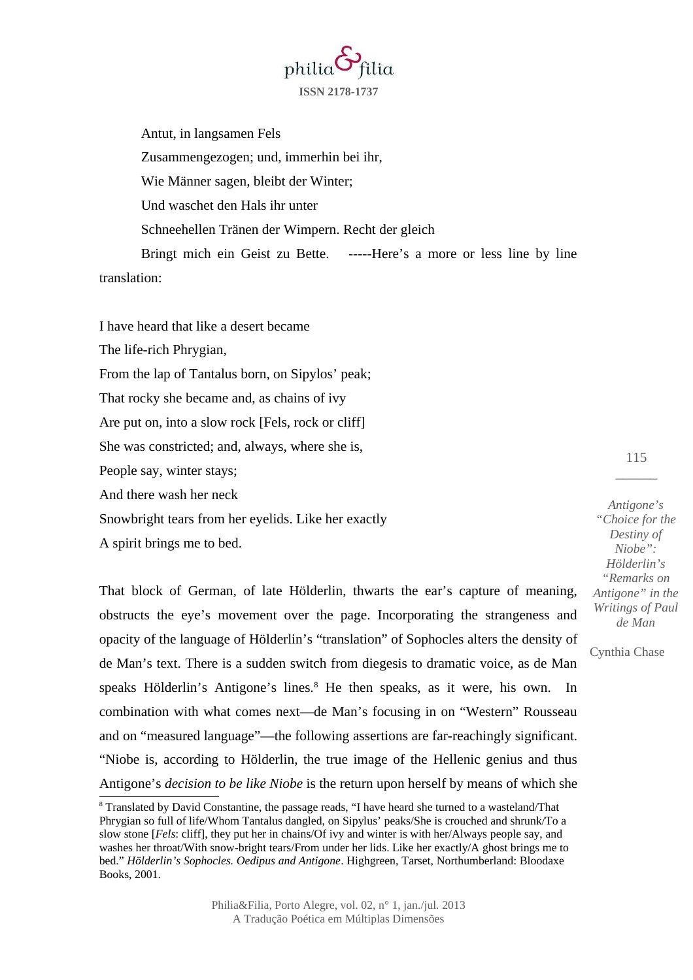

Antut, in langsamen Fels Zusammengezogen; und, immerhin bei ihr, Wie Männer sagen, bleibt der Winter; Und waschet den Hals ihr unter Schneehellen Tränen der Wimpern. Recht der gleich

Bringt mich ein Geist zu Bette. -----Here's a more or less line by line translation:

I have heard that like a desert became

The life-rich Phrygian,

From the lap of Tantalus born, on Sipylos' peak;

That rocky she became and, as chains of ivy

Are put on, into a slow rock [Fels, rock or cliff]

She was constricted; and, always, where she is,

People say, winter stays;

And there wash her neck

Snowbright tears from her eyelids. Like her exactly

A spirit brings me to bed.

That block of German, of late Hölderlin, thwarts the ear's capture of meaning, obstructs the eye's movement over the page. Incorporating the strangeness and opacity of the language of Hölderlin's "translation" of Sophocles alters the density of de Man's text. There is a sudden switch from diegesis to dramatic voice, as de Man speaks Hölderlin's Antigone's lines.<sup>[8](#page-10-0)</sup> He then speaks, as it were, his own. In combination with what comes next—de Man's focusing in on "Western" Rousseau and on "measured language"—the following assertions are far-reachingly significant. "Niobe is, according to Hölderlin, the true image of the Hellenic genius and thus Antigone's *decision to be like Niobe* is the return upon herself by means of which she

*Antigone's "Choice for the Destiny of Niobe": Hölderlin's "Remarks on Antigone" in the Writings of Paul de Man*

115  $\overline{\phantom{a}}$ 

<span id="page-10-0"></span> $8$  Translated by David Constantine, the passage reads, "I have heard she turned to a wasteland/That Phrygian so full of life/Whom Tantalus dangled, on Sipylus' peaks/She is crouched and shrunk/To a slow stone [*Fels*: cliff], they put her in chains/Of ivy and winter is with her/Always people say, and washes her throat/With snow-bright tears/From under her lids. Like her exactly/A ghost brings me to bed." *Hölderlin's Sophocles. Oedipus and Antigone*. Highgreen, Tarset, Northumberland: Bloodaxe Books, 2001.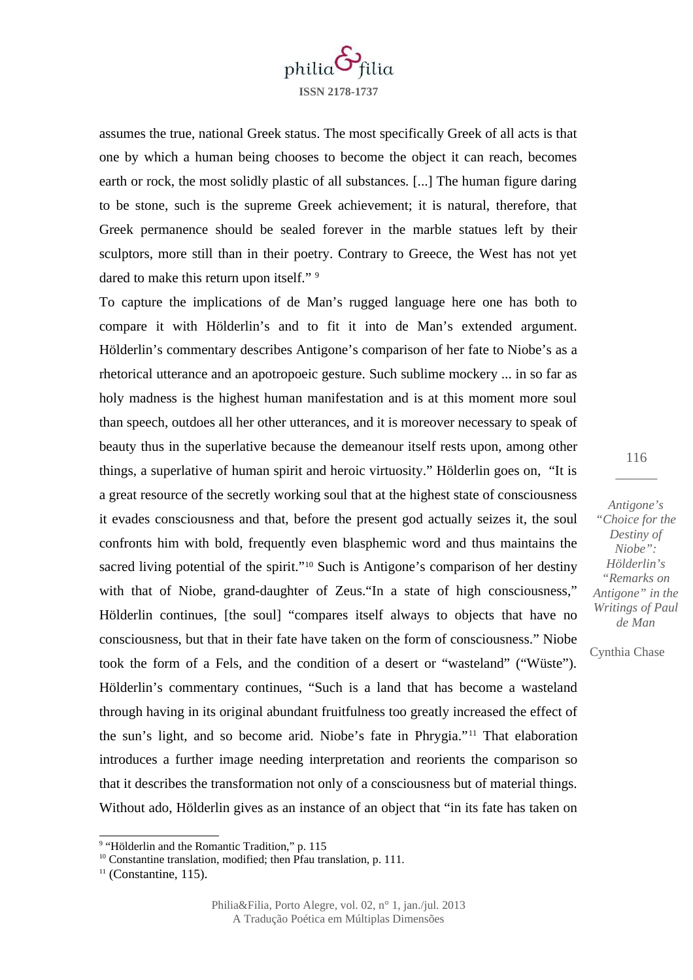

assumes the true, national Greek status. The most specifically Greek of all acts is that one by which a human being chooses to become the object it can reach, becomes earth or rock, the most solidly plastic of all substances. [...] The human figure daring to be stone, such is the supreme Greek achievement; it is natural, therefore, that Greek permanence should be sealed forever in the marble statues left by their sculptors, more still than in their poetry. Contrary to Greece, the West has not yet dared to make this return upon itself."<sup>[9](#page-11-0)</sup>

To capture the implications of de Man's rugged language here one has both to compare it with Hölderlin's and to fit it into de Man's extended argument. Hölderlin's commentary describes Antigone's comparison of her fate to Niobe's as a rhetorical utterance and an apotropoeic gesture. Such sublime mockery ... in so far as holy madness is the highest human manifestation and is at this moment more soul than speech, outdoes all her other utterances, and it is moreover necessary to speak of beauty thus in the superlative because the demeanour itself rests upon, among other things, a superlative of human spirit and heroic virtuosity." Hölderlin goes on, "It is a great resource of the secretly working soul that at the highest state of consciousness it evades consciousness and that, before the present god actually seizes it, the soul confronts him with bold, frequently even blasphemic word and thus maintains the sacred living potential of the spirit."<sup>[10](#page-11-1)</sup> Such is Antigone's comparison of her destiny with that of Niobe, grand-daughter of Zeus. In a state of high consciousness," Hölderlin continues, [the soul] "compares itself always to objects that have no consciousness, but that in their fate have taken on the form of consciousness." Niobe took the form of a Fels, and the condition of a desert or "wasteland" ("Wüste"). Hölderlin's commentary continues, "Such is a land that has become a wasteland through having in its original abundant fruitfulness too greatly increased the effect of the sun's light, and so become arid. Niobe's fate in Phrygia."[11](#page-11-2) That elaboration introduces a further image needing interpretation and reorients the comparison so that it describes the transformation not only of a consciousness but of material things. Without ado, Hölderlin gives as an instance of an object that "in its fate has taken on

116  $\overline{\phantom{a}}$ 

*Antigone's "Choice for the Destiny of Niobe": Hölderlin's "Remarks on Antigone" in the Writings of Paul de Man*

<span id="page-11-0"></span><sup>&</sup>lt;sup>9</sup> "Hölderlin and the Romantic Tradition," p. 115

<span id="page-11-1"></span> $10$  Constantine translation, modified; then Pfau translation, p. 111.

<span id="page-11-2"></span> $11$  (Constantine, 115).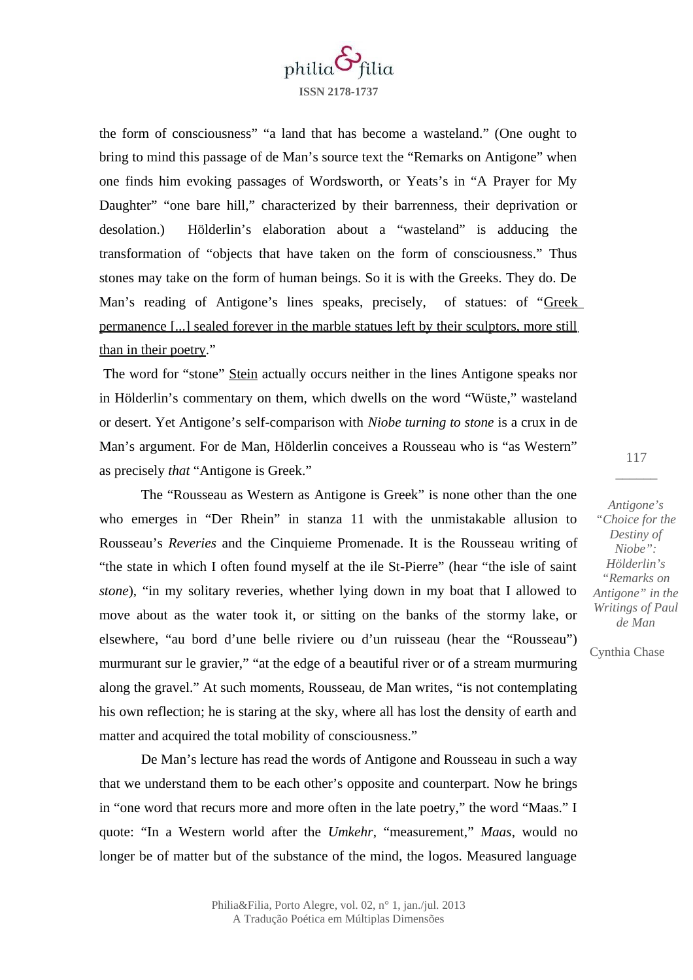

the form of consciousness" "a land that has become a wasteland." (One ought to bring to mind this passage of de Man's source text the "Remarks on Antigone" when one finds him evoking passages of Wordsworth, or Yeats's in "A Prayer for My Daughter" "one bare hill," characterized by their barrenness, their deprivation or desolation.) Hölderlin's elaboration about a "wasteland" is adducing the transformation of "objects that have taken on the form of consciousness." Thus stones may take on the form of human beings. So it is with the Greeks. They do. De Man's reading of Antigone's lines speaks, precisely, of statues: of "Greek permanence [...] sealed forever in the marble statues left by their sculptors, more still than in their poetry."

The word for "stone" Stein actually occurs neither in the lines Antigone speaks nor in Hölderlin's commentary on them, which dwells on the word "Wüste," wasteland or desert. Yet Antigone's self-comparison with *Niobe turning to stone* is a crux in de Man's argument. For de Man, Hölderlin conceives a Rousseau who is "as Western" as precisely *that* "Antigone is Greek."

The "Rousseau as Western as Antigone is Greek" is none other than the one who emerges in "Der Rhein" in stanza 11 with the unmistakable allusion to Rousseau's *Reveries* and the Cinquieme Promenade. It is the Rousseau writing of "the state in which I often found myself at the ile St-Pierre" (hear "the isle of saint *stone*), "in my solitary reveries, whether lying down in my boat that I allowed to move about as the water took it, or sitting on the banks of the stormy lake, or elsewhere, "au bord d'une belle riviere ou d'un ruisseau (hear the "Rousseau") murmurant sur le gravier," "at the edge of a beautiful river or of a stream murmuring along the gravel." At such moments, Rousseau, de Man writes, "is not contemplating his own reflection; he is staring at the sky, where all has lost the density of earth and matter and acquired the total mobility of consciousness."

De Man's lecture has read the words of Antigone and Rousseau in such a way that we understand them to be each other's opposite and counterpart. Now he brings in "one word that recurs more and more often in the late poetry," the word "Maas." I quote: "In a Western world after the *Umkehr*, "measurement," *Maas*, would no longer be of matter but of the substance of the mind, the logos. Measured language

*Antigone's "Choice for the Destiny of Niobe": Hölderlin's "Remarks on Antigone" in the Writings of Paul de Man*

117  $\overline{\phantom{a}}$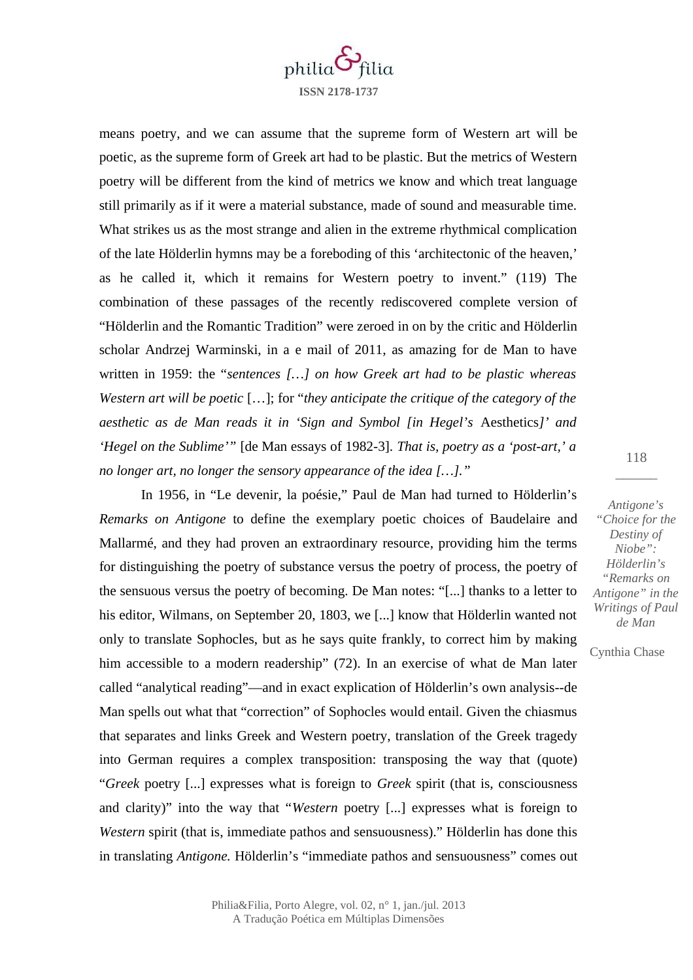

means poetry, and we can assume that the supreme form of Western art will be poetic, as the supreme form of Greek art had to be plastic. But the metrics of Western poetry will be different from the kind of metrics we know and which treat language still primarily as if it were a material substance, made of sound and measurable time. What strikes us as the most strange and alien in the extreme rhythmical complication of the late Hölderlin hymns may be a foreboding of this 'architectonic of the heaven,' as he called it, which it remains for Western poetry to invent." (119) The combination of these passages of the recently rediscovered complete version of "Hölderlin and the Romantic Tradition" were zeroed in on by the critic and Hölderlin scholar Andrzej Warminski, in a e mail of 2011, as amazing for de Man to have written in 1959: the "*sentences […] on how Greek art had to be plastic whereas Western art will be poetic* […]; for "*they anticipate the critique of the category of the aesthetic as de Man reads it in 'Sign and Symbol [in Hegel's* Aesthetics*]' and 'Hegel on the Sublime'"* [de Man essays of 1982-3]*. That is, poetry as a 'post-art,' a no longer art, no longer the sensory appearance of the idea […]."* 

In 1956, in "Le devenir, la poésie," Paul de Man had turned to Hölderlin's *Remarks on Antigone* to define the exemplary poetic choices of Baudelaire and Mallarmé, and they had proven an extraordinary resource, providing him the terms for distinguishing the poetry of substance versus the poetry of process, the poetry of the sensuous versus the poetry of becoming. De Man notes: "[...] thanks to a letter to his editor, Wilmans, on September 20, 1803, we [...] know that Hölderlin wanted not only to translate Sophocles, but as he says quite frankly, to correct him by making him accessible to a modern readership" (72). In an exercise of what de Man later called "analytical reading"—and in exact explication of Hölderlin's own analysis--de Man spells out what that "correction" of Sophocles would entail. Given the chiasmus that separates and links Greek and Western poetry, translation of the Greek tragedy into German requires a complex transposition: transposing the way that (quote) "*Greek* poetry [...] expresses what is foreign to *Greek* spirit (that is, consciousness and clarity)" into the way that "*Western* poetry [...] expresses what is foreign to *Western* spirit (that is, immediate pathos and sensuousness)." Hölderlin has done this in translating *Antigone.* Hölderlin's "immediate pathos and sensuousness" comes out

118  $\overline{\phantom{a}}$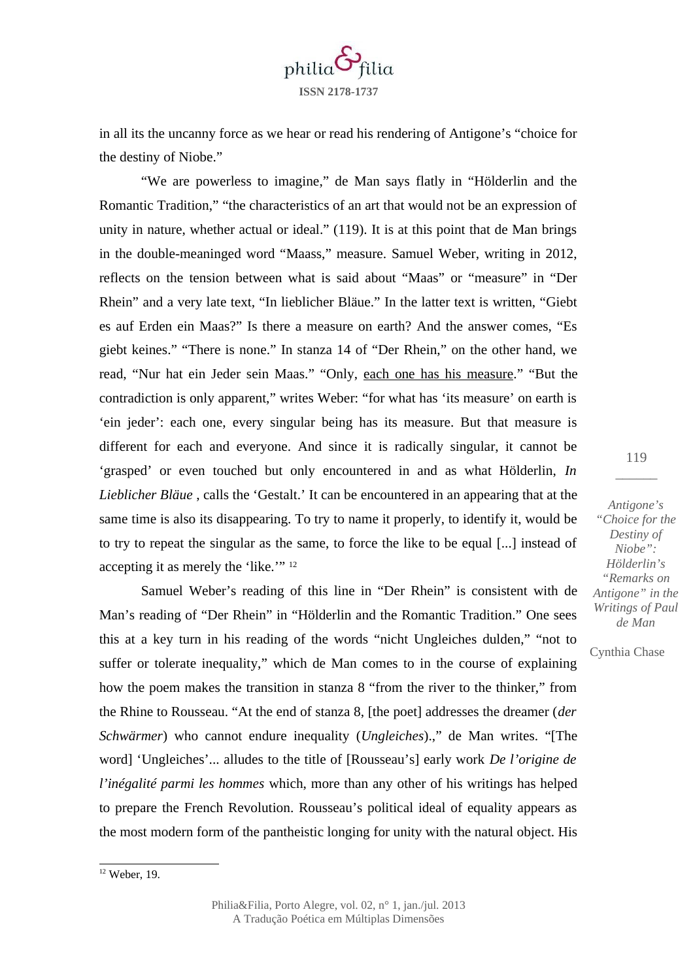

in all its the uncanny force as we hear or read his rendering of Antigone's "choice for the destiny of Niobe."

"We are powerless to imagine," de Man says flatly in "Hölderlin and the Romantic Tradition," "the characteristics of an art that would not be an expression of unity in nature, whether actual or ideal." (119). It is at this point that de Man brings in the double-meaninged word "Maass," measure. Samuel Weber, writing in 2012, reflects on the tension between what is said about "Maas" or "measure" in "Der Rhein" and a very late text, "In lieblicher Bläue." In the latter text is written, "Giebt es auf Erden ein Maas?" Is there a measure on earth? And the answer comes, "Es giebt keines." "There is none." In stanza 14 of "Der Rhein," on the other hand, we read, "Nur hat ein Jeder sein Maas." "Only, each one has his measure." "But the contradiction is only apparent," writes Weber: "for what has 'its measure' on earth is 'ein jeder': each one, every singular being has its measure. But that measure is different for each and everyone. And since it is radically singular, it cannot be 'grasped' or even touched but only encountered in and as what Hölderlin, *In Lieblicher Bläue* , calls the 'Gestalt.' It can be encountered in an appearing that at the same time is also its disappearing. To try to name it properly, to identify it, would be to try to repeat the singular as the same, to force the like to be equal [...] instead of accepting it as merely the 'like.'" <sup>[12](#page-14-0)</sup>

Samuel Weber's reading of this line in "Der Rhein" is consistent with de Man's reading of "Der Rhein" in "Hölderlin and the Romantic Tradition." One sees this at a key turn in his reading of the words "nicht Ungleiches dulden," "not to suffer or tolerate inequality," which de Man comes to in the course of explaining how the poem makes the transition in stanza 8 "from the river to the thinker," from the Rhine to Rousseau. "At the end of stanza 8, [the poet] addresses the dreamer (*der Schwärmer*) who cannot endure inequality (*Ungleiches*).," de Man writes. "[The word] 'Ungleiches'... alludes to the title of [Rousseau's] early work *De l'origine de l'inégalité parmi les hommes* which, more than any other of his writings has helped to prepare the French Revolution. Rousseau's political ideal of equality appears as the most modern form of the pantheistic longing for unity with the natural object. His

119  $\overline{\phantom{a}}$ 

*Antigone's "Choice for the Destiny of Niobe": Hölderlin's "Remarks on Antigone" in the Writings of Paul de Man*

<span id="page-14-0"></span><sup>12</sup> Weber, 19.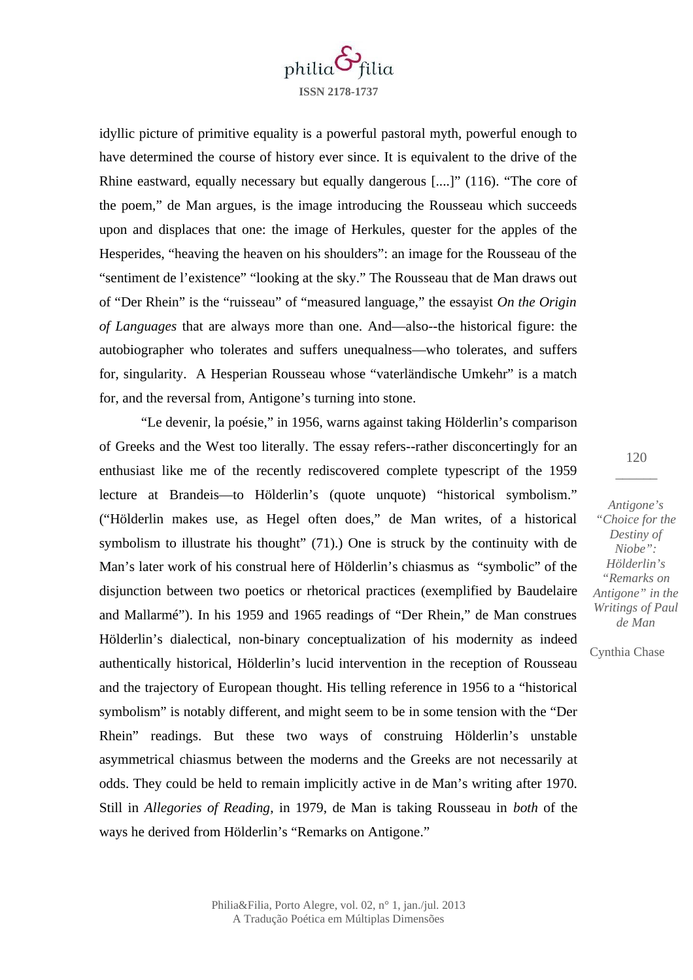

idyllic picture of primitive equality is a powerful pastoral myth, powerful enough to have determined the course of history ever since. It is equivalent to the drive of the Rhine eastward, equally necessary but equally dangerous [....]" (116). "The core of the poem," de Man argues, is the image introducing the Rousseau which succeeds upon and displaces that one: the image of Herkules, quester for the apples of the Hesperides, "heaving the heaven on his shoulders": an image for the Rousseau of the "sentiment de l'existence" "looking at the sky." The Rousseau that de Man draws out of "Der Rhein" is the "ruisseau" of "measured language," the essayist *On the Origin of Languages* that are always more than one. And—also--the historical figure: the autobiographer who tolerates and suffers unequalness—who tolerates, and suffers for, singularity. A Hesperian Rousseau whose "vaterländische Umkehr" is a match for, and the reversal from, Antigone's turning into stone.

"Le devenir, la poésie," in 1956, warns against taking Hölderlin's comparison of Greeks and the West too literally. The essay refers--rather disconcertingly for an enthusiast like me of the recently rediscovered complete typescript of the 1959 lecture at Brandeis—to Hölderlin's (quote unquote) "historical symbolism." ("Hölderlin makes use, as Hegel often does," de Man writes, of a historical symbolism to illustrate his thought" (71).) One is struck by the continuity with de Man's later work of his construal here of Hölderlin's chiasmus as "symbolic" of the disjunction between two poetics or rhetorical practices (exemplified by Baudelaire and Mallarmé"). In his 1959 and 1965 readings of "Der Rhein," de Man construes Hölderlin's dialectical, non-binary conceptualization of his modernity as indeed authentically historical, Hölderlin's lucid intervention in the reception of Rousseau and the trajectory of European thought. His telling reference in 1956 to a "historical symbolism" is notably different, and might seem to be in some tension with the "Der Rhein" readings. But these two ways of construing Hölderlin's unstable asymmetrical chiasmus between the moderns and the Greeks are not necessarily at odds. They could be held to remain implicitly active in de Man's writing after 1970. Still in *Allegories of Reading*, in 1979, de Man is taking Rousseau in *both* of the ways he derived from Hölderlin's "Remarks on Antigone."

120  $\overline{\phantom{a}}$ 

*Antigone's "Choice for the Destiny of Niobe": Hölderlin's "Remarks on Antigone" in the Writings of Paul de Man*